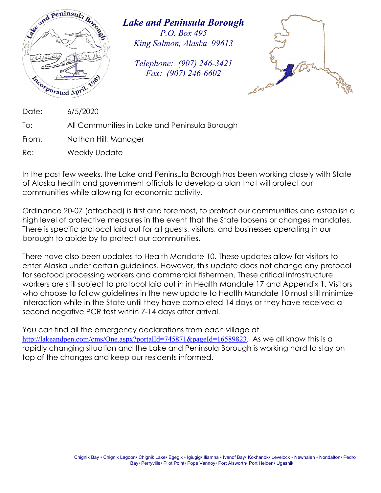

*Lake and Peninsula Borough P.O. Box 495 King Salmon, Alaska 99613* 

*Telephone: (907) 246-3421 Fax: (907) 246-6602* 



Date: 6/5/2020

To: All Communities in Lake and Peninsula Borough

From: Nathan Hill, Manager

Re: Weekly Update

In the past few weeks, the Lake and Peninsula Borough has been working closely with State of Alaska health and government officials to develop a plan that will protect our communities while allowing for economic activity.

Ordinance 20-07 (attached) is first and foremost, to protect our communities and establish a high level of protective measures in the event that the State loosens or changes mandates. There is specific protocol laid out for all guests, visitors, and businesses operating in our borough to abide by to protect our communities.

There have also been updates to Health Mandate 10. These updates allow for visitors to enter Alaska under certain guidelines. However, this update does not change any protocol for seafood processing workers and commercial fishermen. These critical infrastructure workers are still subject to protocol laid out in in Health Mandate 17 and Appendix 1. Visitors who choose to follow guidelines in the new update to Health Mandate 10 must still minimize interaction while in the State until they have completed 14 days or they have received a second negative PCR test within 7-14 days after arrival.

You can find all the emergency declarations from each village at http://lakeandpen.com/cms/One.aspx?portalId=745871&pageId=16589823. As we all know this is a rapidly changing situation and the Lake and Peninsula Borough is working hard to stay on top of the changes and keep our residents informed.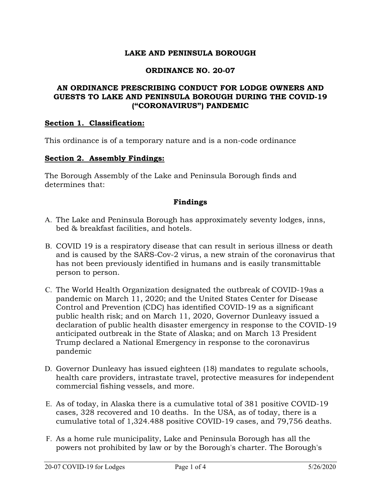# **LAKE AND PENINSULA BOROUGH**

### **ORDINANCE NO. 20-07**

# **AN ORDINANCE PRESCRIBING CONDUCT FOR LODGE OWNERS AND GUESTS TO LAKE AND PENINSULA BOROUGH DURING THE COVID-19 ("CORONAVIRUS") PANDEMIC**

### **Section 1. Classification:**

This ordinance is of a temporary nature and is a non-code ordinance

#### **Section 2. Assembly Findings:**

The Borough Assembly of the Lake and Peninsula Borough finds and determines that:

### **Findings**

- A. The Lake and Peninsula Borough has approximately seventy lodges, inns, bed & breakfast facilities, and hotels.
- B. COVID 19 is a respiratory disease that can result in serious illness or death and is caused by the SARS-Cov-2 virus, a new strain of the coronavirus that has not been previously identified in humans and is easily transmittable person to person.
- C. The World Health Organization designated the outbreak of COVID-19as a pandemic on March 11, 2020; and the United States Center for Disease Control and Prevention (CDC) has identified COVID-19 as a significant public health risk; and on March 11, 2020, Governor Dunleavy issued a declaration of public health disaster emergency in response to the COVID-19 anticipated outbreak in the State of Alaska; and on March 13 President Trump declared a National Emergency in response to the coronavirus pandemic
- D. Governor Dunleavy has issued eighteen (18) mandates to regulate schools, health care providers, intrastate travel, protective measures for independent commercial fishing vessels, and more.
- E. As of today, in Alaska there is a cumulative total of 381 positive COVID-19 cases, 328 recovered and 10 deaths. In the USA, as of today, there is a cumulative total of 1,324.488 positive COVID-19 cases, and 79,756 deaths.
- F. As a home rule municipality, Lake and Peninsula Borough has all the powers not prohibited by law or by the Borough's charter. The Borough's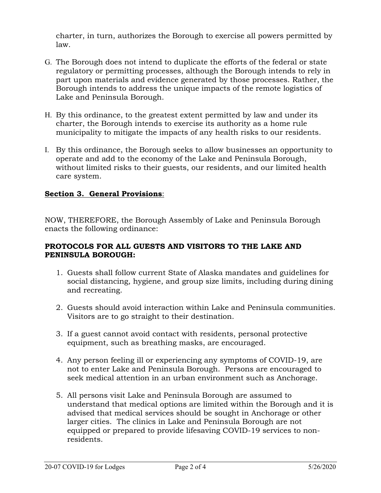charter, in turn, authorizes the Borough to exercise all powers permitted by law.

- G. The Borough does not intend to duplicate the efforts of the federal or state regulatory or permitting processes, although the Borough intends to rely in part upon materials and evidence generated by those processes. Rather, the Borough intends to address the unique impacts of the remote logistics of Lake and Peninsula Borough.
- H. By this ordinance, to the greatest extent permitted by law and under its charter, the Borough intends to exercise its authority as a home rule municipality to mitigate the impacts of any health risks to our residents.
- I. By this ordinance, the Borough seeks to allow businesses an opportunity to operate and add to the economy of the Lake and Peninsula Borough, without limited risks to their guests, our residents, and our limited health care system.

# **Section 3. General Provisions**:

NOW, THEREFORE, the Borough Assembly of Lake and Peninsula Borough enacts the following ordinance:

# **PROTOCOLS FOR ALL GUESTS AND VISITORS TO THE LAKE AND PENINSULA BOROUGH:**

- 1. Guests shall follow current State of Alaska mandates and guidelines for social distancing, hygiene, and group size limits, including during dining and recreating.
- 2. Guests should avoid interaction within Lake and Peninsula communities. Visitors are to go straight to their destination.
- 3. If a guest cannot avoid contact with residents, personal protective equipment, such as breathing masks, are encouraged.
- 4. Any person feeling ill or experiencing any symptoms of COVID-19, are not to enter Lake and Peninsula Borough. Persons are encouraged to seek medical attention in an urban environment such as Anchorage.
- 5. All persons visit Lake and Peninsula Borough are assumed to understand that medical options are limited within the Borough and it is advised that medical services should be sought in Anchorage or other larger cities. The clinics in Lake and Peninsula Borough are not equipped or prepared to provide lifesaving COVID-19 services to nonresidents.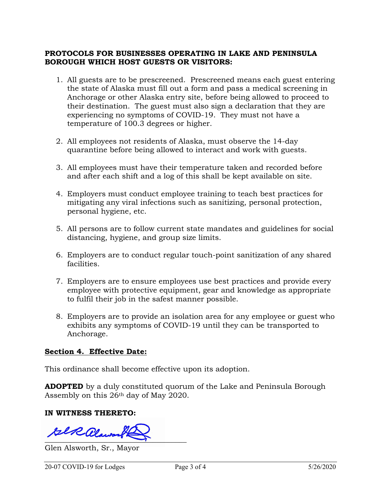# **PROTOCOLS FOR BUSINESSES OPERATING IN LAKE AND PENINSULA BOROUGH WHICH HOST GUESTS OR VISITORS:**

- 1. All guests are to be prescreened. Prescreened means each guest entering the state of Alaska must fill out a form and pass a medical screening in Anchorage or other Alaska entry site, before being allowed to proceed to their destination. The guest must also sign a declaration that they are experiencing no symptoms of COVID-19. They must not have a temperature of 100.3 degrees or higher.
- 2. All employees not residents of Alaska, must observe the 14-day quarantine before being allowed to interact and work with guests.
- 3. All employees must have their temperature taken and recorded before and after each shift and a log of this shall be kept available on site.
- 4. Employers must conduct employee training to teach best practices for mitigating any viral infections such as sanitizing, personal protection, personal hygiene, etc.
- 5. All persons are to follow current state mandates and guidelines for social distancing, hygiene, and group size limits.
- 6. Employers are to conduct regular touch-point sanitization of any shared facilities.
- 7. Employers are to ensure employees use best practices and provide every employee with protective equipment, gear and knowledge as appropriate to fulfil their job in the safest manner possible.
- 8. Employers are to provide an isolation area for any employee or guest who exhibits any symptoms of COVID-19 until they can be transported to Anchorage.

### **Section 4. Effective Date:**

This ordinance shall become effective upon its adoption.

**ADOPTED** by a duly constituted quorum of the Lake and Peninsula Borough Assembly on this 26th day of May 2020.

### **IN WITNESS THERETO:**

 $\\ \text{Re} \mathcal{Q} \text{log}$ 

Glen Alsworth, Sr., Mayor